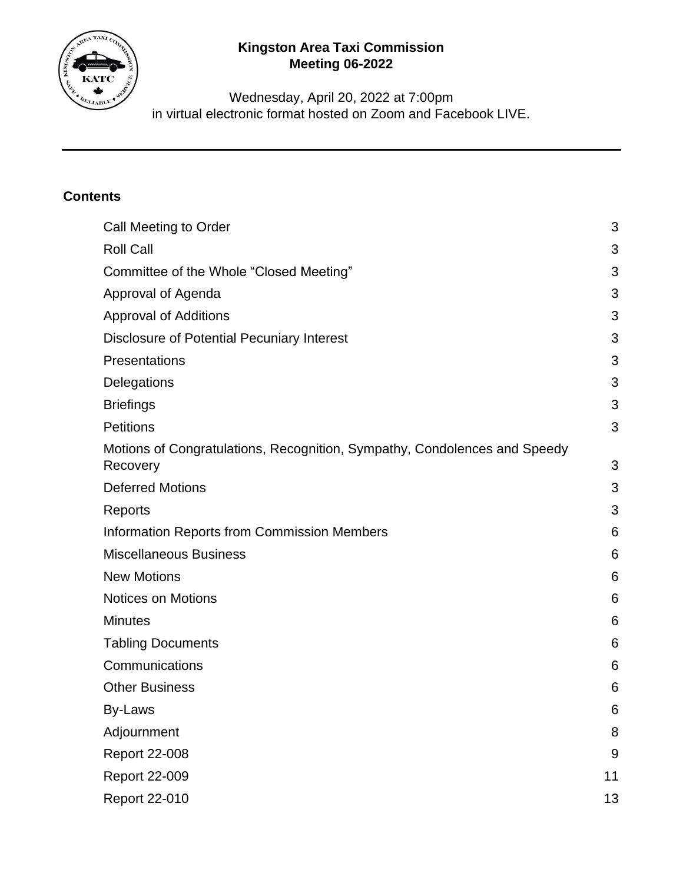

# **Kingston Area Taxi Commission Meeting 06-2022**

Wednesday, April 20, 2022 at 7:00pm in virtual electronic format hosted on Zoom and Facebook LIVE.

## **Contents**

| Call Meeting to Order                                                                 | 3  |
|---------------------------------------------------------------------------------------|----|
| <b>Roll Call</b>                                                                      | 3  |
| Committee of the Whole "Closed Meeting"                                               | 3  |
| Approval of Agenda                                                                    | 3  |
| <b>Approval of Additions</b>                                                          | 3  |
| Disclosure of Potential Pecuniary Interest                                            | 3  |
| Presentations                                                                         | 3  |
| Delegations                                                                           | 3  |
| <b>Briefings</b>                                                                      | 3  |
| <b>Petitions</b>                                                                      | 3  |
| Motions of Congratulations, Recognition, Sympathy, Condolences and Speedy<br>Recovery | 3  |
| <b>Deferred Motions</b>                                                               | 3  |
| Reports                                                                               | 3  |
| <b>Information Reports from Commission Members</b>                                    | 6  |
| <b>Miscellaneous Business</b>                                                         | 6  |
| <b>New Motions</b>                                                                    | 6  |
| <b>Notices on Motions</b>                                                             | 6  |
| <b>Minutes</b>                                                                        | 6  |
| <b>Tabling Documents</b>                                                              | 6  |
| Communications                                                                        | 6  |
| <b>Other Business</b>                                                                 | 6  |
| By-Laws                                                                               | 6  |
| Adjournment                                                                           | 8  |
| <b>Report 22-008</b>                                                                  | 9  |
| <b>Report 22-009</b>                                                                  | 11 |
| <b>Report 22-010</b>                                                                  | 13 |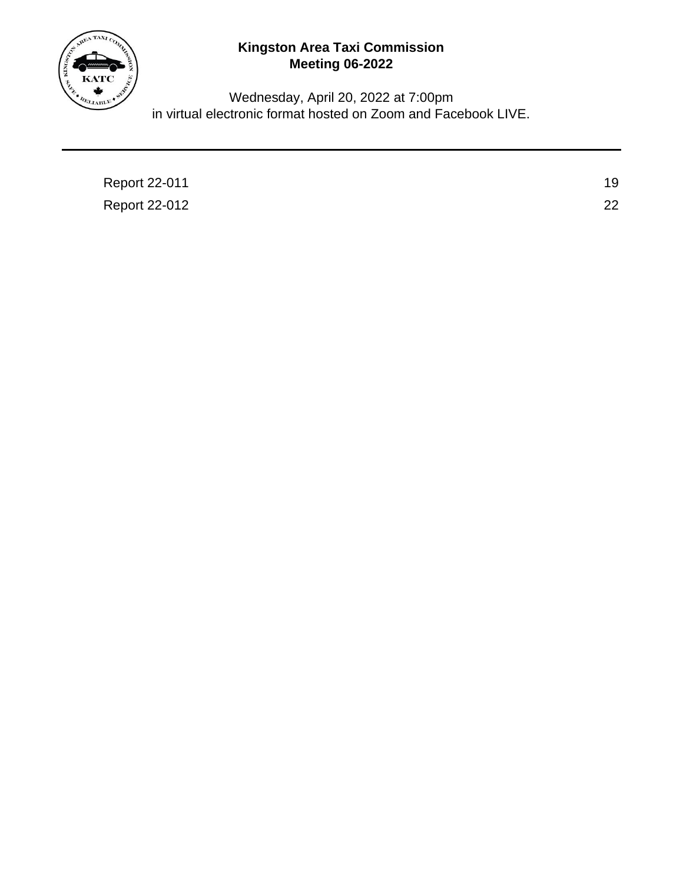

# **Kingston Area Taxi Commission Meeting 06-2022**

Wednesday, April 20, 2022 at 7:00pm in virtual electronic format hosted on Zoom and Facebook LIVE.

| 19 |
|----|
| 22 |
|    |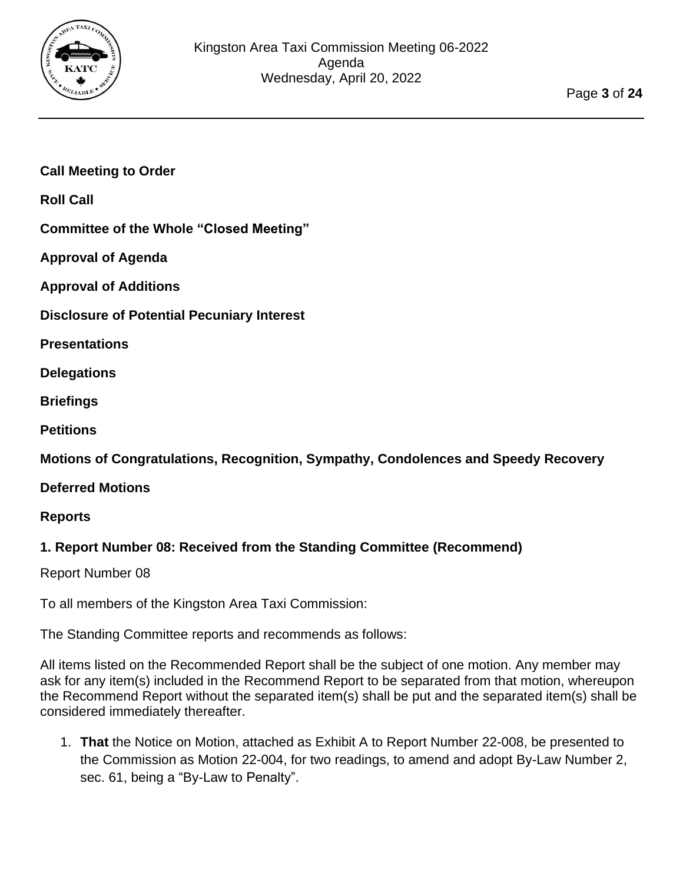

## <span id="page-2-0"></span>**Call Meeting to Order**

<span id="page-2-1"></span>**Roll Call**

<span id="page-2-3"></span><span id="page-2-2"></span>**Committee of the Whole "Closed Meeting"**

<span id="page-2-4"></span>**Approval of Agenda**

**Approval of Additions**

<span id="page-2-5"></span>**Disclosure of Potential Pecuniary Interest**

<span id="page-2-6"></span>**Presentations**

<span id="page-2-8"></span><span id="page-2-7"></span>**Delegations**

<span id="page-2-9"></span>**Briefings**

**Petitions**

<span id="page-2-10"></span>**Motions of Congratulations, Recognition, Sympathy, Condolences and Speedy Recovery**

<span id="page-2-11"></span>**Deferred Motions**

#### <span id="page-2-12"></span>**Reports**

#### **1. Report Number 08: Received from the Standing Committee (Recommend)**

Report Number 08

To all members of the Kingston Area Taxi Commission:

The Standing Committee reports and recommends as follows:

All items listed on the Recommended Report shall be the subject of one motion. Any member may ask for any item(s) included in the Recommend Report to be separated from that motion, whereupon the Recommend Report without the separated item(s) shall be put and the separated item(s) shall be considered immediately thereafter.

1. **That** the Notice on Motion, attached as Exhibit A to Report Number 22-008, be presented to the Commission as Motion 22-004, for two readings, to amend and adopt By-Law Number 2, sec. 61, being a "By-Law to Penalty".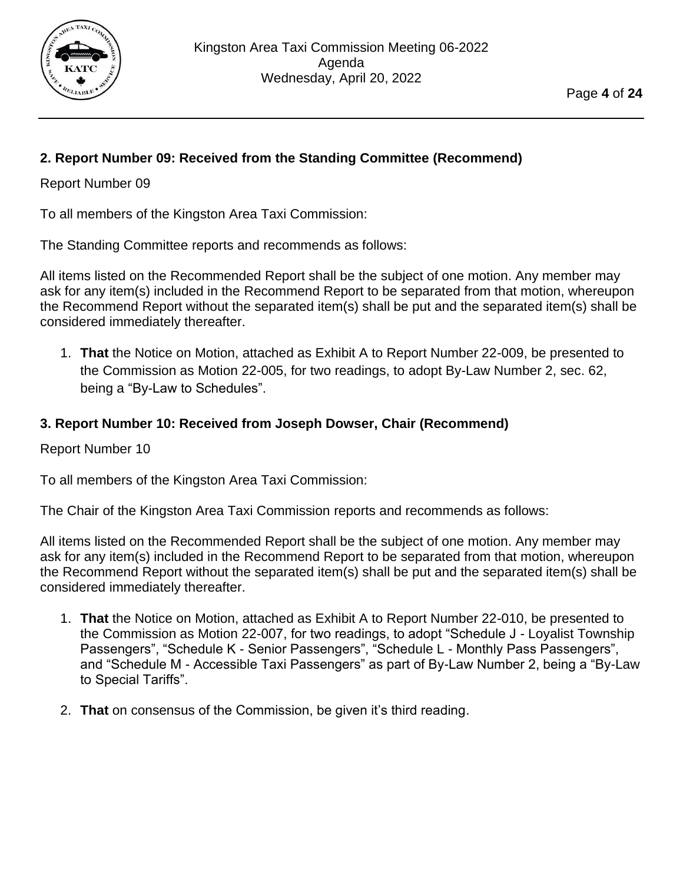

## **2. Report Number 09: Received from the Standing Committee (Recommend)**

#### Report Number 09

To all members of the Kingston Area Taxi Commission:

The Standing Committee reports and recommends as follows:

All items listed on the Recommended Report shall be the subject of one motion. Any member may ask for any item(s) included in the Recommend Report to be separated from that motion, whereupon the Recommend Report without the separated item(s) shall be put and the separated item(s) shall be considered immediately thereafter.

1. **That** the Notice on Motion, attached as Exhibit A to Report Number 22-009, be presented to the Commission as Motion 22-005, for two readings, to adopt By-Law Number 2, sec. 62, being a "By-Law to Schedules".

## **3. Report Number 10: Received from Joseph Dowser, Chair (Recommend)**

Report Number 10

To all members of the Kingston Area Taxi Commission:

The Chair of the Kingston Area Taxi Commission reports and recommends as follows:

All items listed on the Recommended Report shall be the subject of one motion. Any member may ask for any item(s) included in the Recommend Report to be separated from that motion, whereupon the Recommend Report without the separated item(s) shall be put and the separated item(s) shall be considered immediately thereafter.

- 1. **That** the Notice on Motion, attached as Exhibit A to Report Number 22-010, be presented to the Commission as Motion 22-007, for two readings, to adopt "Schedule J - Loyalist Township Passengers", "Schedule K - Senior Passengers", "Schedule L - Monthly Pass Passengers", and "Schedule M - Accessible Taxi Passengers" as part of By-Law Number 2, being a "By-Law to Special Tariffs".
- 2. **That** on consensus of the Commission, be given it's third reading.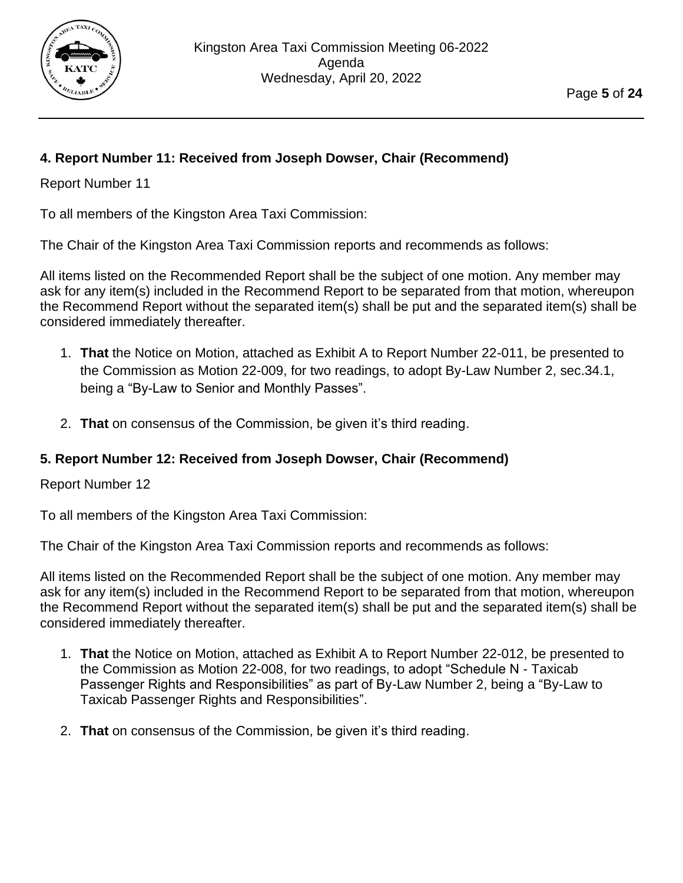

## **4. Report Number 11: Received from Joseph Dowser, Chair (Recommend)**

Report Number 11

To all members of the Kingston Area Taxi Commission:

The Chair of the Kingston Area Taxi Commission reports and recommends as follows:

All items listed on the Recommended Report shall be the subject of one motion. Any member may ask for any item(s) included in the Recommend Report to be separated from that motion, whereupon the Recommend Report without the separated item(s) shall be put and the separated item(s) shall be considered immediately thereafter.

- 1. **That** the Notice on Motion, attached as Exhibit A to Report Number 22-011, be presented to the Commission as Motion 22-009, for two readings, to adopt By-Law Number 2, sec.34.1, being a "By-Law to Senior and Monthly Passes".
- 2. **That** on consensus of the Commission, be given it's third reading.

## **5. Report Number 12: Received from Joseph Dowser, Chair (Recommend)**

Report Number 12

To all members of the Kingston Area Taxi Commission:

The Chair of the Kingston Area Taxi Commission reports and recommends as follows:

All items listed on the Recommended Report shall be the subject of one motion. Any member may ask for any item(s) included in the Recommend Report to be separated from that motion, whereupon the Recommend Report without the separated item(s) shall be put and the separated item(s) shall be considered immediately thereafter.

- 1. **That** the Notice on Motion, attached as Exhibit A to Report Number 22-012, be presented to the Commission as Motion 22-008, for two readings, to adopt "Schedule N - Taxicab Passenger Rights and Responsibilities" as part of By-Law Number 2, being a "By-Law to Taxicab Passenger Rights and Responsibilities".
- 2. **That** on consensus of the Commission, be given it's third reading.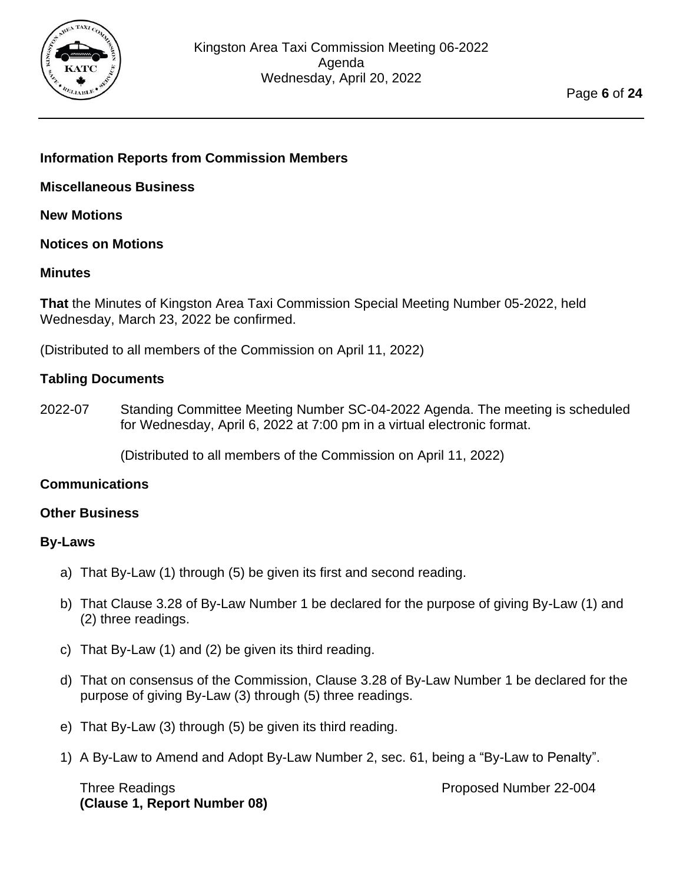

#### <span id="page-5-0"></span>**Information Reports from Commission Members**

<span id="page-5-1"></span>**Miscellaneous Business**

<span id="page-5-2"></span>**New Motions**

<span id="page-5-3"></span>**Notices on Motions**

#### <span id="page-5-4"></span>**Minutes**

**That** the Minutes of Kingston Area Taxi Commission Special Meeting Number 05-2022, held Wednesday, March 23, 2022 be confirmed.

(Distributed to all members of the Commission on April 11, 2022)

#### <span id="page-5-5"></span>**Tabling Documents**

2022-07 Standing Committee Meeting Number SC-04-2022 Agenda. The meeting is scheduled for Wednesday, April 6, 2022 at 7:00 pm in a virtual electronic format.

(Distributed to all members of the Commission on April 11, 2022)

#### <span id="page-5-6"></span>**Communications**

#### <span id="page-5-8"></span><span id="page-5-7"></span>**Other Business**

#### **By-Laws**

- a) That By-Law (1) through (5) be given its first and second reading.
- b) That Clause 3.28 of By-Law Number 1 be declared for the purpose of giving By-Law (1) and (2) three readings.
- c) That By-Law (1) and (2) be given its third reading.
- d) That on consensus of the Commission, Clause 3.28 of By-Law Number 1 be declared for the purpose of giving By-Law (3) through (5) three readings.
- e) That By-Law (3) through (5) be given its third reading.
- 1) A By-Law to Amend and Adopt By-Law Number 2, sec. 61, being a "By-Law to Penalty".

Three Readings **Proposed Number 22-004 (Clause 1, Report Number 08)**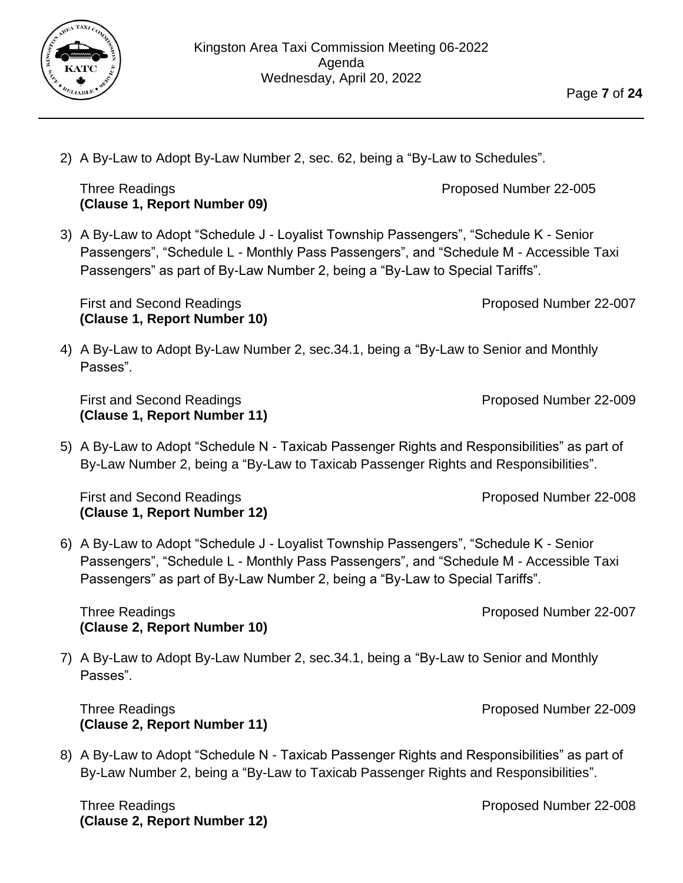Agenda Wednesday, April 20, 2022

Three Readings **Proposed Number 22-005** 

Kingston Area Taxi Commission Meeting 06-2022

2) A By-Law to Adopt By-Law Number 2, sec. 62, being a "By-Law to Schedules".

3) A By-Law to Adopt "Schedule J - Loyalist Township Passengers", "Schedule K - Senior Passengers", "Schedule L - Monthly Pass Passengers", and "Schedule M - Accessible Taxi Passengers" as part of By-Law Number 2, being a "By-Law to Special Tariffs".

First and Second Readings **Proposed Number 22-007 (Clause 1, Report Number 10)**

**(Clause 1, Report Number 09)**

4) A By-Law to Adopt By-Law Number 2, sec.34.1, being a "By-Law to Senior and Monthly Passes".

First and Second Readings **Proposed Number 22-009 (Clause 1, Report Number 11)**

5) A By-Law to Adopt "Schedule N - Taxicab Passenger Rights and Responsibilities" as part of By-Law Number 2, being a "By-Law to Taxicab Passenger Rights and Responsibilities".

First and Second Readings **Proposed Number 22-008 (Clause 1, Report Number 12)**

6) A By-Law to Adopt "Schedule J - Loyalist Township Passengers", "Schedule K - Senior Passengers", "Schedule L - Monthly Pass Passengers", and "Schedule M - Accessible Taxi Passengers" as part of By-Law Number 2, being a "By-Law to Special Tariffs".

Three Readings **Proposed Number 22-007 (Clause 2, Report Number 10)**

7) A By-Law to Adopt By-Law Number 2, sec.34.1, being a "By-Law to Senior and Monthly Passes".

Three Readings **Proposed Number 22-009 (Clause 2, Report Number 11)**

8) A By-Law to Adopt "Schedule N - Taxicab Passenger Rights and Responsibilities" as part of By-Law Number 2, being a "By-Law to Taxicab Passenger Rights and Responsibilities".

Three Readings **Proposed Number 22-008 (Clause 2, Report Number 12)**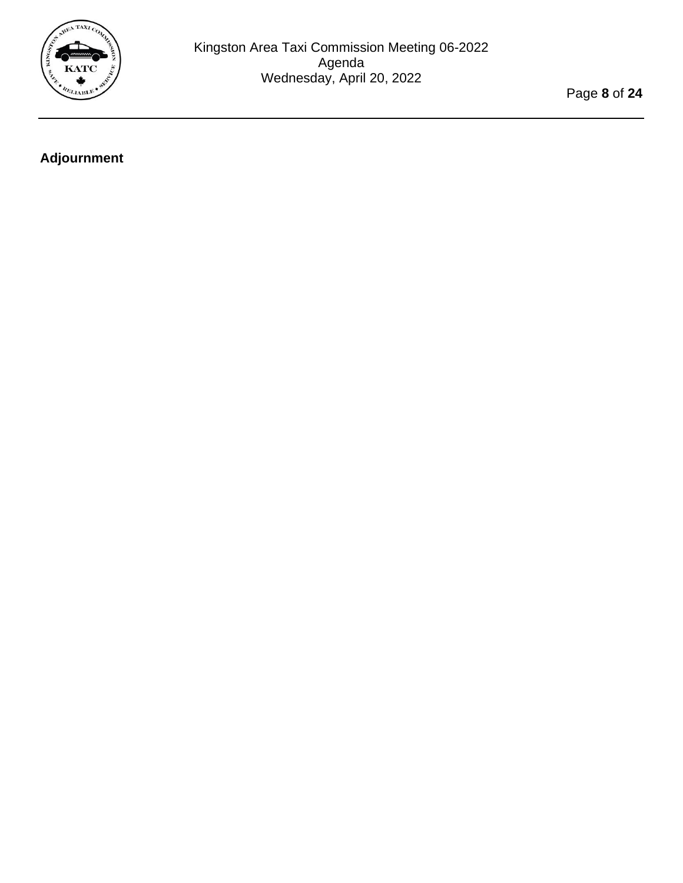

Page **8** of **24**

# <span id="page-7-0"></span>**Adjournment**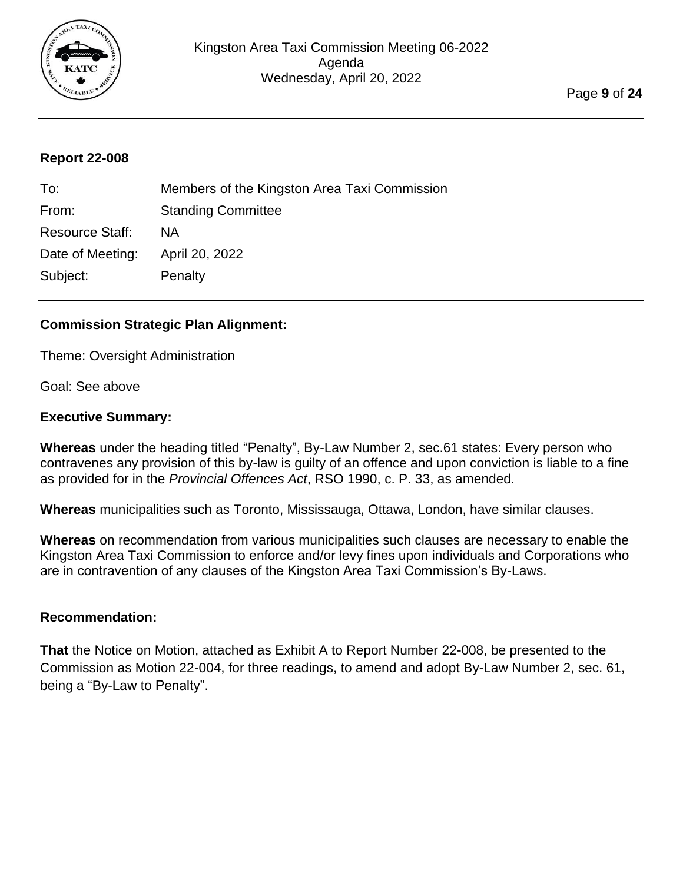

<span id="page-8-0"></span>

| To:                    | Members of the Kingston Area Taxi Commission |
|------------------------|----------------------------------------------|
| From:                  | <b>Standing Committee</b>                    |
| <b>Resource Staff:</b> | <b>NA</b>                                    |
| Date of Meeting:       | April 20, 2022                               |
| Subject:               | Penalty                                      |
|                        |                                              |

#### **Commission Strategic Plan Alignment:**

Theme: Oversight Administration

Goal: See above

#### **Executive Summary:**

**Whereas** under the heading titled "Penalty", By-Law Number 2, sec.61 states: Every person who contravenes any provision of this by-law is guilty of an offence and upon conviction is liable to a fine as provided for in the *Provincial Offences Act*, RSO 1990, c. P. 33, as amended.

**Whereas** municipalities such as Toronto, Mississauga, Ottawa, London, have similar clauses.

**Whereas** on recommendation from various municipalities such clauses are necessary to enable the Kingston Area Taxi Commission to enforce and/or levy fines upon individuals and Corporations who are in contravention of any clauses of the Kingston Area Taxi Commission's By-Laws.

#### **Recommendation:**

**That** the Notice on Motion, attached as Exhibit A to Report Number 22-008, be presented to the Commission as Motion 22-004, for three readings, to amend and adopt By-Law Number 2, sec. 61, being a "By-Law to Penalty".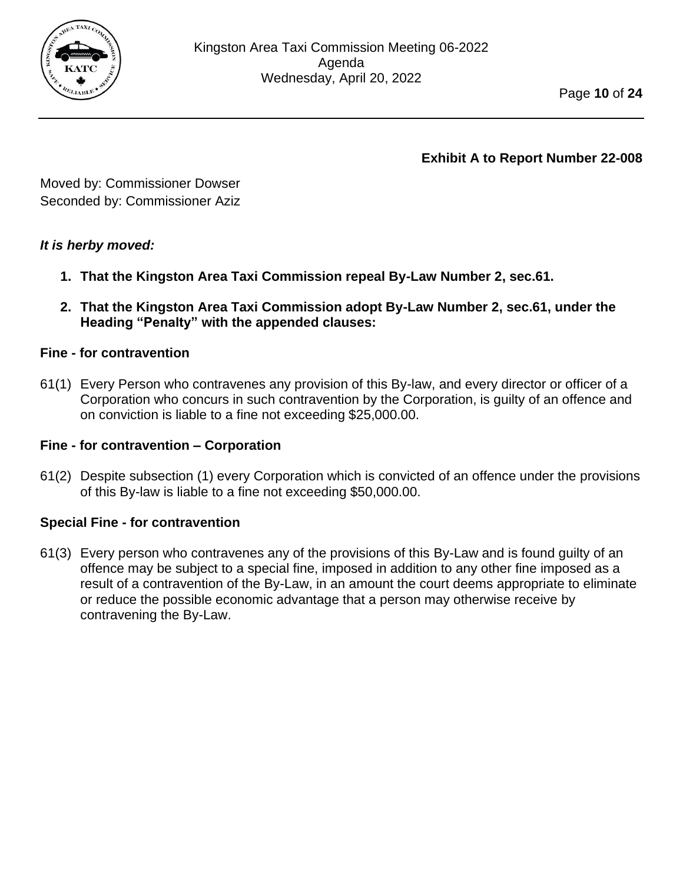

Moved by: Commissioner Dowser Seconded by: Commissioner Aziz

## *It is herby moved:*

- **1. That the Kingston Area Taxi Commission repeal By-Law Number 2, sec.61.**
- **2. That the Kingston Area Taxi Commission adopt By-Law Number 2, sec.61, under the Heading "Penalty" with the appended clauses:**

## **Fine - for contravention**

61(1) Every Person who contravenes any provision of this By-law, and every director or officer of a Corporation who concurs in such contravention by the Corporation, is guilty of an offence and on conviction is liable to a fine not exceeding \$25,000.00.

#### **Fine - for contravention – Corporation**

61(2) Despite subsection (1) every Corporation which is convicted of an offence under the provisions of this By-law is liable to a fine not exceeding \$50,000.00.

#### **Special Fine - for contravention**

61(3) Every person who contravenes any of the provisions of this By-Law and is found guilty of an offence may be subject to a special fine, imposed in addition to any other fine imposed as a result of a contravention of the By-Law, in an amount the court deems appropriate to eliminate or reduce the possible economic advantage that a person may otherwise receive by contravening the By-Law.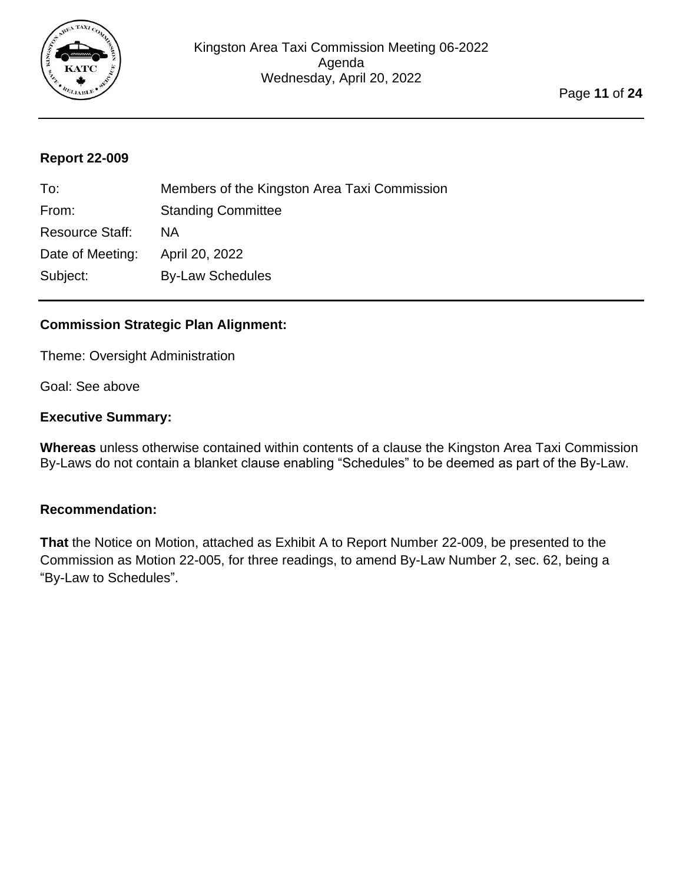

<span id="page-10-0"></span>

| To:                    | Members of the Kingston Area Taxi Commission |
|------------------------|----------------------------------------------|
| From:                  | <b>Standing Committee</b>                    |
| <b>Resource Staff:</b> | <b>NA</b>                                    |
| Date of Meeting:       | April 20, 2022                               |
| Subject:               | <b>By-Law Schedules</b>                      |
|                        |                                              |

## **Commission Strategic Plan Alignment:**

Theme: Oversight Administration

Goal: See above

#### **Executive Summary:**

**Whereas** unless otherwise contained within contents of a clause the Kingston Area Taxi Commission By-Laws do not contain a blanket clause enabling "Schedules" to be deemed as part of the By-Law.

#### **Recommendation:**

**That** the Notice on Motion, attached as Exhibit A to Report Number 22-009, be presented to the Commission as Motion 22-005, for three readings, to amend By-Law Number 2, sec. 62, being a "By-Law to Schedules".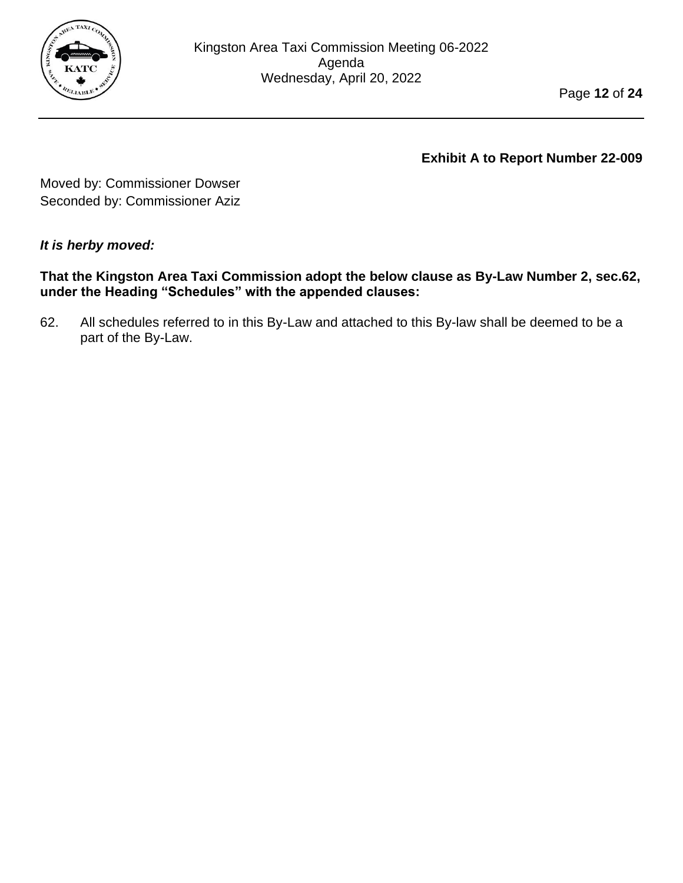

Moved by: Commissioner Dowser Seconded by: Commissioner Aziz

## *It is herby moved:*

**That the Kingston Area Taxi Commission adopt the below clause as By-Law Number 2, sec.62, under the Heading "Schedules" with the appended clauses:**

62. All schedules referred to in this By-Law and attached to this By-law shall be deemed to be a part of the By-Law.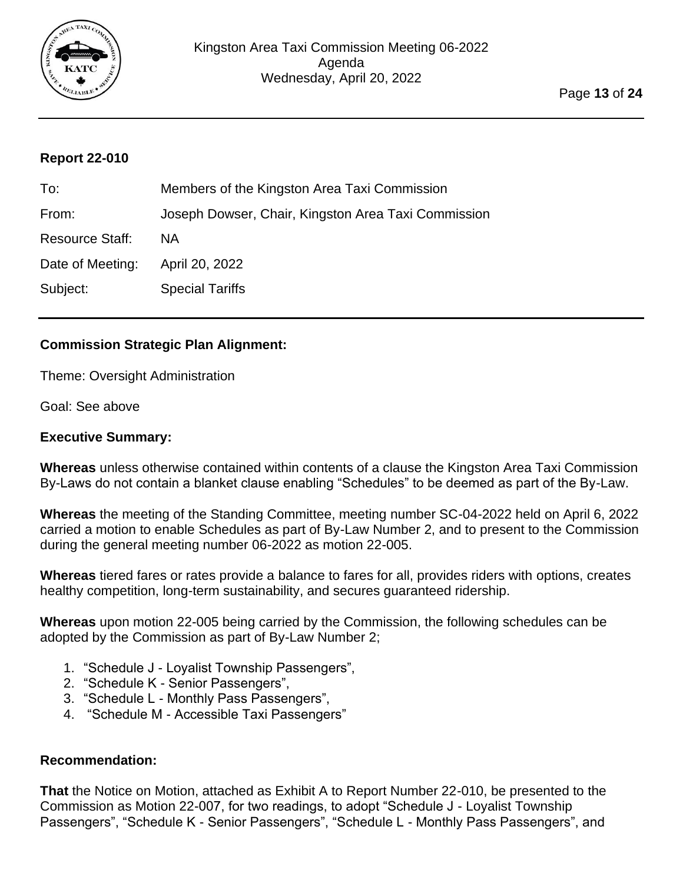

<span id="page-12-0"></span>

| To:                    | Members of the Kingston Area Taxi Commission        |
|------------------------|-----------------------------------------------------|
| From:                  | Joseph Dowser, Chair, Kingston Area Taxi Commission |
| <b>Resource Staff:</b> | NA.                                                 |
| Date of Meeting:       | April 20, 2022                                      |
| Subject:               | <b>Special Tariffs</b>                              |

## **Commission Strategic Plan Alignment:**

Theme: Oversight Administration

Goal: See above

#### **Executive Summary:**

**Whereas** unless otherwise contained within contents of a clause the Kingston Area Taxi Commission By-Laws do not contain a blanket clause enabling "Schedules" to be deemed as part of the By-Law.

**Whereas** the meeting of the Standing Committee, meeting number SC-04-2022 held on April 6, 2022 carried a motion to enable Schedules as part of By-Law Number 2, and to present to the Commission during the general meeting number 06-2022 as motion 22-005.

**Whereas** tiered fares or rates provide a balance to fares for all, provides riders with options, creates healthy competition, long-term sustainability, and secures guaranteed ridership.

**Whereas** upon motion 22-005 being carried by the Commission, the following schedules can be adopted by the Commission as part of By-Law Number 2;

- 1. "Schedule J Loyalist Township Passengers",
- 2. "Schedule K Senior Passengers",
- 3. "Schedule L Monthly Pass Passengers",
- 4. "Schedule M Accessible Taxi Passengers"

#### **Recommendation:**

**That** the Notice on Motion, attached as Exhibit A to Report Number 22-010, be presented to the Commission as Motion 22-007, for two readings, to adopt "Schedule J - Loyalist Township Passengers", "Schedule K - Senior Passengers", "Schedule L - Monthly Pass Passengers", and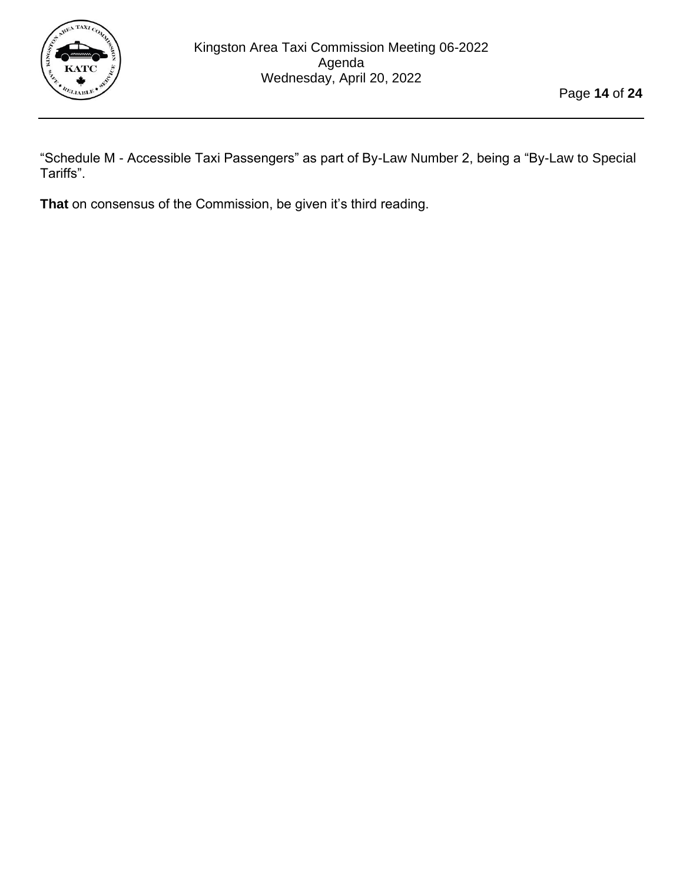

"Schedule M - Accessible Taxi Passengers" as part of By-Law Number 2, being a "By-Law to Special Tariffs".

**That** on consensus of the Commission, be given it's third reading.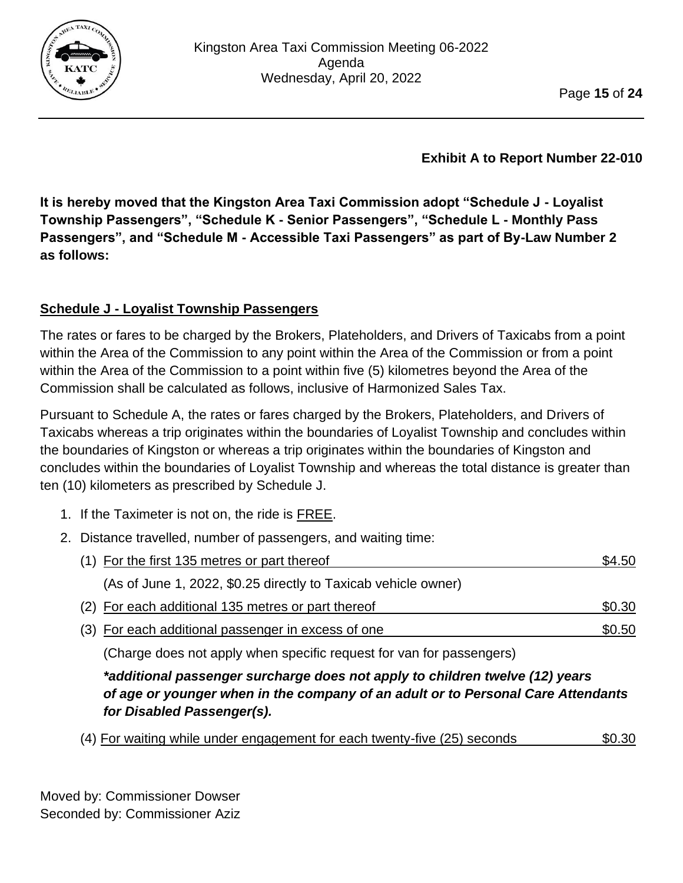

**It is hereby moved that the Kingston Area Taxi Commission adopt "Schedule J - Loyalist Township Passengers", "Schedule K - Senior Passengers", "Schedule L - Monthly Pass Passengers", and "Schedule M - Accessible Taxi Passengers" as part of By-Law Number 2 as follows:**

## **Schedule J - Loyalist Township Passengers**

The rates or fares to be charged by the Brokers, Plateholders, and Drivers of Taxicabs from a point within the Area of the Commission to any point within the Area of the Commission or from a point within the Area of the Commission to a point within five (5) kilometres beyond the Area of the Commission shall be calculated as follows, inclusive of Harmonized Sales Tax.

Pursuant to Schedule A, the rates or fares charged by the Brokers, Plateholders, and Drivers of Taxicabs whereas a trip originates within the boundaries of Loyalist Township and concludes within the boundaries of Kingston or whereas a trip originates within the boundaries of Kingston and concludes within the boundaries of Loyalist Township and whereas the total distance is greater than ten (10) kilometers as prescribed by Schedule J.

- 1. If the Taximeter is not on, the ride is **FREE**.
- 2. Distance travelled, number of passengers, and waiting time:

| (1) For the first 135 metres or part thereof                   | \$4.50 |
|----------------------------------------------------------------|--------|
| (As of June 1, 2022, \$0.25 directly to Taxicab vehicle owner) |        |
| (2) For each additional 135 metres or part thereof             | \$0.30 |
| (3) For each additional passenger in excess of one             | \$0.50 |

(Charge does not apply when specific request for van for passengers)

*\*additional passenger surcharge does not apply to children twelve (12) years of age or younger when in the company of an adult or to Personal Care Attendants for Disabled Passenger(s).*

(4) For waiting while under engagement for each twenty-five (25) seconds \$0.30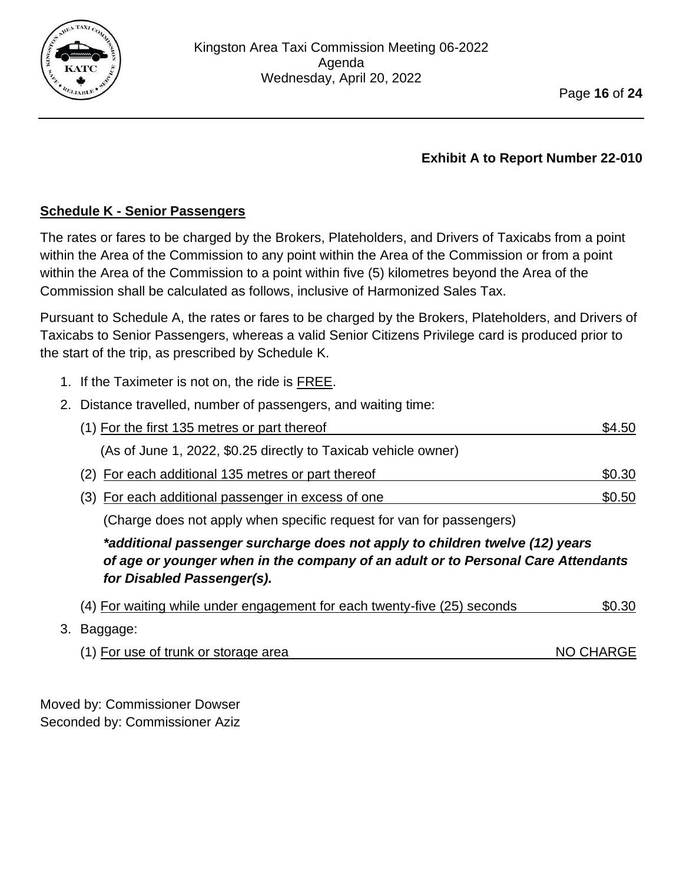

## **Schedule K - Senior Passengers**

The rates or fares to be charged by the Brokers, Plateholders, and Drivers of Taxicabs from a point within the Area of the Commission to any point within the Area of the Commission or from a point within the Area of the Commission to a point within five (5) kilometres beyond the Area of the Commission shall be calculated as follows, inclusive of Harmonized Sales Tax.

Pursuant to Schedule A, the rates or fares to be charged by the Brokers, Plateholders, and Drivers of Taxicabs to Senior Passengers, whereas a valid Senior Citizens Privilege card is produced prior to the start of the trip, as prescribed by Schedule K.

- 1. If the Taximeter is not on, the ride is FREE.
- 2. Distance travelled, number of passengers, and waiting time:

| (1) For the first 135 metres or part thereof                                                                                                                                                   | \$4.50    |
|------------------------------------------------------------------------------------------------------------------------------------------------------------------------------------------------|-----------|
| (As of June 1, 2022, \$0.25 directly to Taxicab vehicle owner)                                                                                                                                 |           |
| (2) For each additional 135 metres or part thereof                                                                                                                                             | \$0.30    |
| (3) For each additional passenger in excess of one                                                                                                                                             | \$0.50    |
| (Charge does not apply when specific request for van for passengers)                                                                                                                           |           |
| *additional passenger surcharge does not apply to children twelve (12) years<br>of age or younger when in the company of an adult or to Personal Care Attendants<br>for Disabled Passenger(s). |           |
| (4) For waiting while under engagement for each twenty-five (25) seconds                                                                                                                       | \$0.30    |
| Baggage:                                                                                                                                                                                       |           |
| (1) For use of trunk or storage area                                                                                                                                                           | NO CHARGE |

Moved by: Commissioner Dowser Seconded by: Commissioner Aziz

 $3.$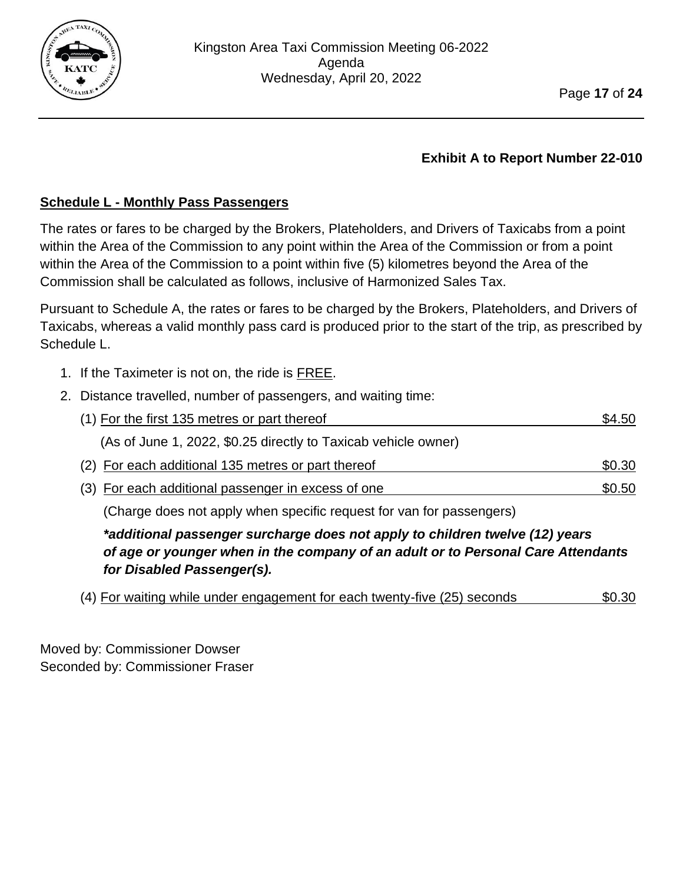

## **Schedule L - Monthly Pass Passengers**

The rates or fares to be charged by the Brokers, Plateholders, and Drivers of Taxicabs from a point within the Area of the Commission to any point within the Area of the Commission or from a point within the Area of the Commission to a point within five (5) kilometres beyond the Area of the Commission shall be calculated as follows, inclusive of Harmonized Sales Tax.

Pursuant to Schedule A, the rates or fares to be charged by the Brokers, Plateholders, and Drivers of Taxicabs, whereas a valid monthly pass card is produced prior to the start of the trip, as prescribed by Schedule L.

- 1. If the Taximeter is not on, the ride is FREE.
- 2. Distance travelled, number of passengers, and waiting time:

| (1) For the first 135 metres or part thereof                         | \$4.50 |
|----------------------------------------------------------------------|--------|
| (As of June 1, 2022, \$0.25 directly to Taxicab vehicle owner)       |        |
| (2) For each additional 135 metres or part thereof                   | \$0.30 |
| (3) For each additional passenger in excess of one                   | \$0.50 |
| (Charge does not apply when specific request for van for passengers) |        |

*\*additional passenger surcharge does not apply to children twelve (12) years of age or younger when in the company of an adult or to Personal Care Attendants for Disabled Passenger(s).*

|  |  | (4) For waiting while under engagement for each twenty-five (25) seconds |  |  |  |  | \$0.30 |
|--|--|--------------------------------------------------------------------------|--|--|--|--|--------|
|--|--|--------------------------------------------------------------------------|--|--|--|--|--------|

Moved by: Commissioner Dowser Seconded by: Commissioner Fraser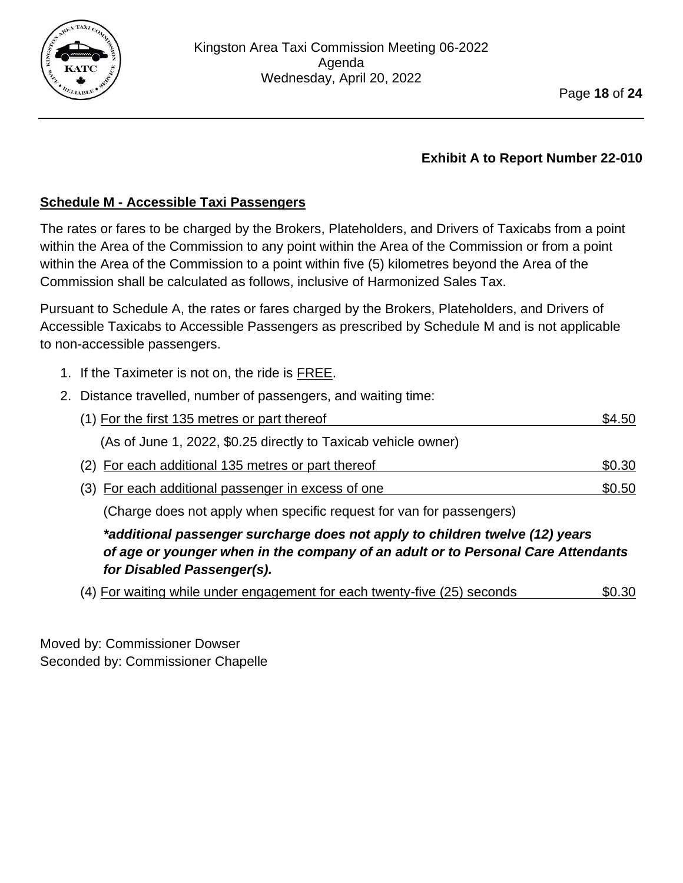

## **Schedule M - Accessible Taxi Passengers**

The rates or fares to be charged by the Brokers, Plateholders, and Drivers of Taxicabs from a point within the Area of the Commission to any point within the Area of the Commission or from a point within the Area of the Commission to a point within five (5) kilometres beyond the Area of the Commission shall be calculated as follows, inclusive of Harmonized Sales Tax.

Pursuant to Schedule A, the rates or fares charged by the Brokers, Plateholders, and Drivers of Accessible Taxicabs to Accessible Passengers as prescribed by Schedule M and is not applicable to non-accessible passengers.

- 1. If the Taximeter is not on, the ride is FREE.
- 2. Distance travelled, number of passengers, and waiting time:

| (1) For the first 135 metres or part thereof                                 | \$4.50 |
|------------------------------------------------------------------------------|--------|
| (As of June 1, 2022, \$0.25 directly to Taxicab vehicle owner)               |        |
| (2) For each additional 135 metres or part thereof                           | \$0.30 |
| (3) For each additional passenger in excess of one                           | \$0.50 |
| (Charge does not apply when specific request for van for passengers)         |        |
| *additional passenger surcharge does not apply to children twelve (12) years |        |

*of age or younger when in the company of an adult or to Personal Care Attendants for Disabled Passenger(s).*

(4) For waiting while under engagement for each twenty-five (25) seconds \$0.30

Moved by: Commissioner Dowser Seconded by: Commissioner Chapelle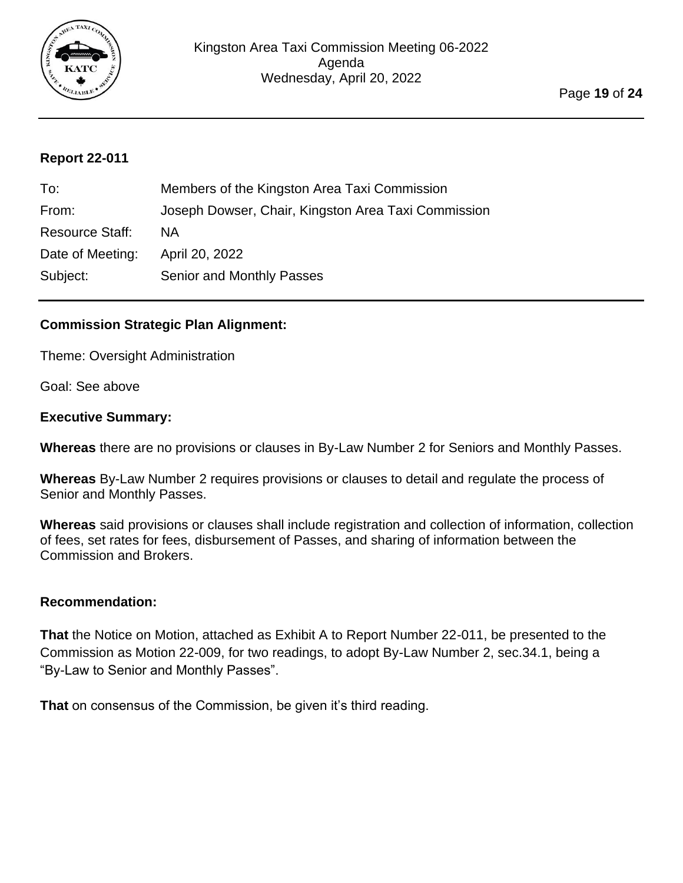

<span id="page-18-0"></span>

| To:                    | Members of the Kingston Area Taxi Commission        |
|------------------------|-----------------------------------------------------|
| From:                  | Joseph Dowser, Chair, Kingston Area Taxi Commission |
| <b>Resource Staff:</b> | <b>NA</b>                                           |
| Date of Meeting:       | April 20, 2022                                      |
| Subject:               | Senior and Monthly Passes                           |

#### **Commission Strategic Plan Alignment:**

Theme: Oversight Administration

Goal: See above

#### **Executive Summary:**

**Whereas** there are no provisions or clauses in By-Law Number 2 for Seniors and Monthly Passes.

**Whereas** By-Law Number 2 requires provisions or clauses to detail and regulate the process of Senior and Monthly Passes.

**Whereas** said provisions or clauses shall include registration and collection of information, collection of fees, set rates for fees, disbursement of Passes, and sharing of information between the Commission and Brokers.

#### **Recommendation:**

**That** the Notice on Motion, attached as Exhibit A to Report Number 22-011, be presented to the Commission as Motion 22-009, for two readings, to adopt By-Law Number 2, sec.34.1, being a "By-Law to Senior and Monthly Passes".

**That** on consensus of the Commission, be given it's third reading.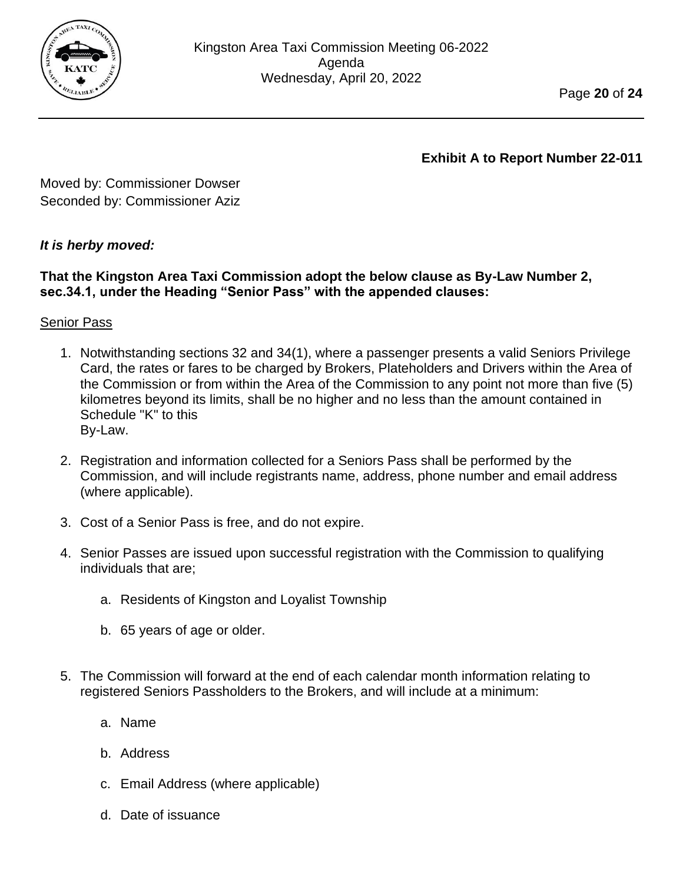

Moved by: Commissioner Dowser Seconded by: Commissioner Aziz

## *It is herby moved:*

#### **That the Kingston Area Taxi Commission adopt the below clause as By-Law Number 2, sec.34.1, under the Heading "Senior Pass" with the appended clauses:**

## Senior Pass

- 1. Notwithstanding sections 32 and 34(1), where a passenger presents a valid Seniors Privilege Card, the rates or fares to be charged by Brokers, Plateholders and Drivers within the Area of the Commission or from within the Area of the Commission to any point not more than five (5) kilometres beyond its limits, shall be no higher and no less than the amount contained in Schedule "K" to this By-Law.
- 2. Registration and information collected for a Seniors Pass shall be performed by the Commission, and will include registrants name, address, phone number and email address (where applicable).
- 3. Cost of a Senior Pass is free, and do not expire.
- 4. Senior Passes are issued upon successful registration with the Commission to qualifying individuals that are;
	- a. Residents of Kingston and Loyalist Township
	- b. 65 years of age or older.
- 5. The Commission will forward at the end of each calendar month information relating to registered Seniors Passholders to the Brokers, and will include at a minimum:
	- a. Name
	- b. Address
	- c. Email Address (where applicable)
	- d. Date of issuance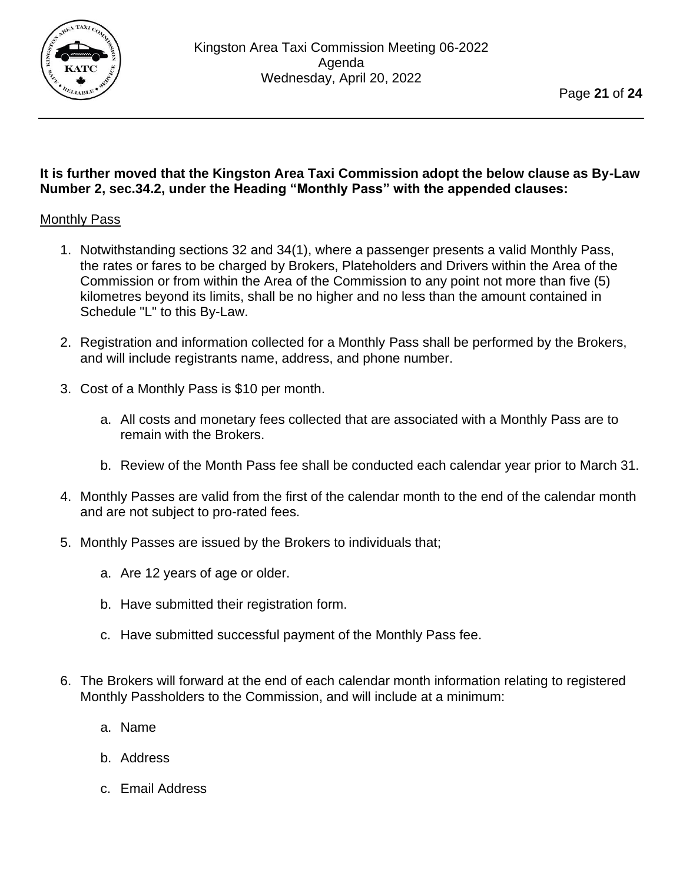

#### **It is further moved that the Kingston Area Taxi Commission adopt the below clause as By-Law Number 2, sec.34.2, under the Heading "Monthly Pass" with the appended clauses:**

#### Monthly Pass

- 1. Notwithstanding sections 32 and 34(1), where a passenger presents a valid Monthly Pass, the rates or fares to be charged by Brokers, Plateholders and Drivers within the Area of the Commission or from within the Area of the Commission to any point not more than five (5) kilometres beyond its limits, shall be no higher and no less than the amount contained in Schedule "L" to this By-Law.
- 2. Registration and information collected for a Monthly Pass shall be performed by the Brokers, and will include registrants name, address, and phone number.
- 3. Cost of a Monthly Pass is \$10 per month.
	- a. All costs and monetary fees collected that are associated with a Monthly Pass are to remain with the Brokers.
	- b. Review of the Month Pass fee shall be conducted each calendar year prior to March 31.
- 4. Monthly Passes are valid from the first of the calendar month to the end of the calendar month and are not subject to pro-rated fees.
- 5. Monthly Passes are issued by the Brokers to individuals that;
	- a. Are 12 years of age or older.
	- b. Have submitted their registration form.
	- c. Have submitted successful payment of the Monthly Pass fee.
- 6. The Brokers will forward at the end of each calendar month information relating to registered Monthly Passholders to the Commission, and will include at a minimum:
	- a. Name
	- b. Address
	- c. Email Address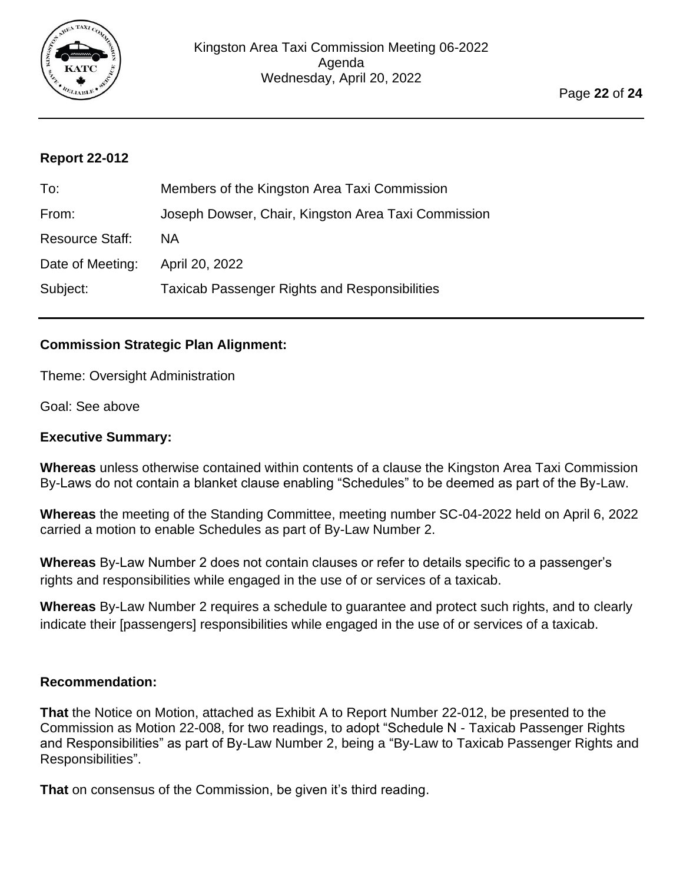

<span id="page-21-0"></span>

| To:                    | Members of the Kingston Area Taxi Commission         |
|------------------------|------------------------------------------------------|
| From:                  | Joseph Dowser, Chair, Kingston Area Taxi Commission  |
| <b>Resource Staff:</b> | <b>NA</b>                                            |
| Date of Meeting:       | April 20, 2022                                       |
| Subject:               | <b>Taxicab Passenger Rights and Responsibilities</b> |

## **Commission Strategic Plan Alignment:**

Theme: Oversight Administration

Goal: See above

#### **Executive Summary:**

**Whereas** unless otherwise contained within contents of a clause the Kingston Area Taxi Commission By-Laws do not contain a blanket clause enabling "Schedules" to be deemed as part of the By-Law.

**Whereas** the meeting of the Standing Committee, meeting number SC-04-2022 held on April 6, 2022 carried a motion to enable Schedules as part of By-Law Number 2.

**Whereas** By-Law Number 2 does not contain clauses or refer to details specific to a passenger's rights and responsibilities while engaged in the use of or services of a taxicab.

**Whereas** By-Law Number 2 requires a schedule to guarantee and protect such rights, and to clearly indicate their [passengers] responsibilities while engaged in the use of or services of a taxicab.

#### **Recommendation:**

**That** the Notice on Motion, attached as Exhibit A to Report Number 22-012, be presented to the Commission as Motion 22-008, for two readings, to adopt "Schedule N - Taxicab Passenger Rights and Responsibilities" as part of By-Law Number 2, being a "By-Law to Taxicab Passenger Rights and Responsibilities".

**That** on consensus of the Commission, be given it's third reading.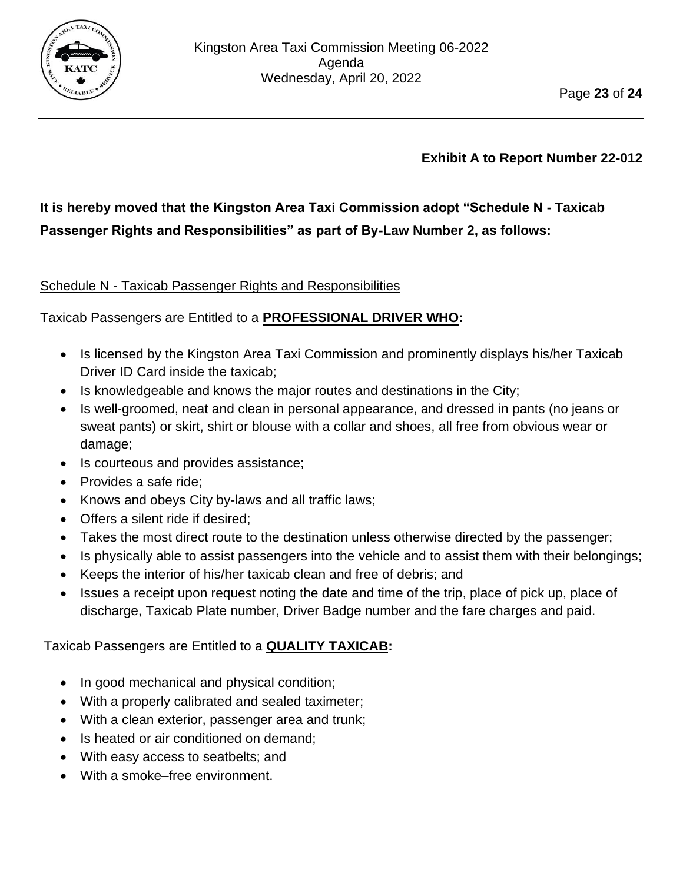

# **It is hereby moved that the Kingston Area Taxi Commission adopt "Schedule N - Taxicab Passenger Rights and Responsibilities" as part of By-Law Number 2, as follows:**

## Schedule N - Taxicab Passenger Rights and Responsibilities

## Taxicab Passengers are Entitled to a **PROFESSIONAL DRIVER WHO:**

- Is licensed by the Kingston Area Taxi Commission and prominently displays his/her Taxicab Driver ID Card inside the taxicab;
- Is knowledgeable and knows the major routes and destinations in the City;
- Is well-groomed, neat and clean in personal appearance, and dressed in pants (no jeans or sweat pants) or skirt, shirt or blouse with a collar and shoes, all free from obvious wear or damage;
- Is courteous and provides assistance;
- Provides a safe ride;
- Knows and obeys City by-laws and all traffic laws;
- Offers a silent ride if desired;
- Takes the most direct route to the destination unless otherwise directed by the passenger;
- Is physically able to assist passengers into the vehicle and to assist them with their belongings;
- Keeps the interior of his/her taxicab clean and free of debris; and
- Issues a receipt upon request noting the date and time of the trip, place of pick up, place of discharge, Taxicab Plate number, Driver Badge number and the fare charges and paid.

## Taxicab Passengers are Entitled to a **QUALITY TAXICAB:**

- In good mechanical and physical condition;
- With a properly calibrated and sealed taximeter;
- With a clean exterior, passenger area and trunk;
- Is heated or air conditioned on demand;
- With easy access to seatbelts; and
- With a smoke–free environment.